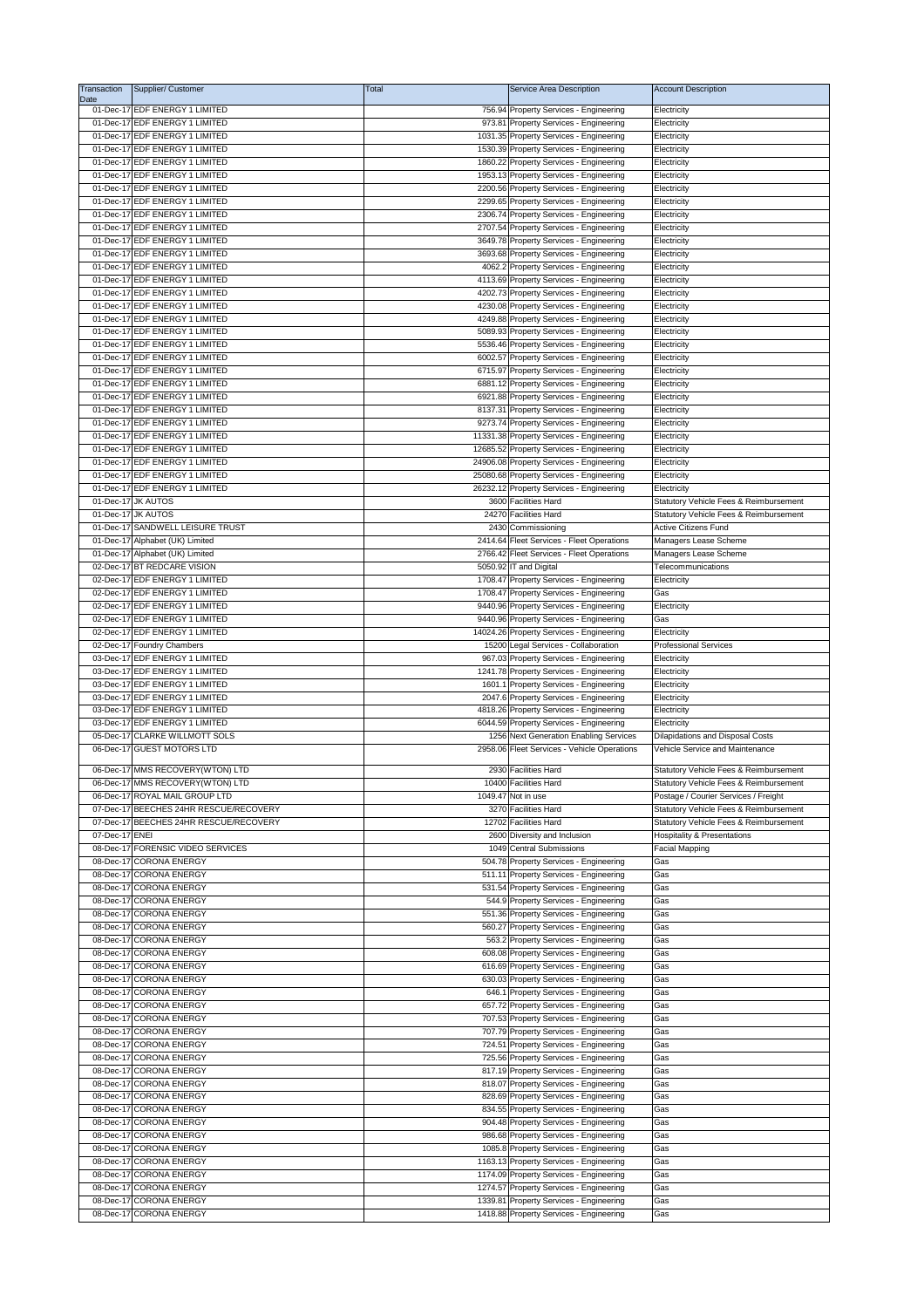| Transaction    | Supplier/ Customer                                               | Total | Service Area Description                                                              | <b>Account Description</b>                                                 |
|----------------|------------------------------------------------------------------|-------|---------------------------------------------------------------------------------------|----------------------------------------------------------------------------|
| Date           |                                                                  |       |                                                                                       |                                                                            |
|                | 01-Dec-17 EDF ENERGY 1 LIMITED<br>01-Dec-17 EDF ENERGY 1 LIMITED |       | 756.94 Property Services - Engineering<br>973.81 Property Services - Engineering      | Electricity                                                                |
|                | 01-Dec-17 EDF ENERGY 1 LIMITED                                   |       | 1031.35 Property Services - Engineering                                               | Electricity<br>Electricity                                                 |
|                | 01-Dec-17 EDF ENERGY 1 LIMITED                                   |       | 1530.39 Property Services - Engineering                                               | Electricity                                                                |
|                | 01-Dec-17 EDF ENERGY 1 LIMITED                                   |       | 1860.22 Property Services - Engineering                                               | Electricity                                                                |
|                | 01-Dec-17 EDF ENERGY 1 LIMITED                                   |       | 1953.13 Property Services - Engineering                                               | Electricity                                                                |
|                | 01-Dec-17 EDF ENERGY 1 LIMITED                                   |       | 2200.56 Property Services - Engineering                                               | Electricity                                                                |
|                | 01-Dec-17 EDF ENERGY 1 LIMITED                                   |       | 2299.65 Property Services - Engineering                                               | Electricity                                                                |
|                | 01-Dec-17 EDF ENERGY 1 LIMITED                                   |       | 2306.74 Property Services - Engineering                                               | Electricity                                                                |
|                | 01-Dec-17 EDF ENERGY 1 LIMITED                                   |       | 2707.54 Property Services - Engineering                                               | Electricity                                                                |
|                | 01-Dec-17 EDF ENERGY 1 LIMITED                                   |       | 3649.78 Property Services - Engineering                                               | Electricity                                                                |
|                | 01-Dec-17 EDF ENERGY 1 LIMITED                                   |       | 3693.68 Property Services - Engineering                                               | Electricity                                                                |
|                | 01-Dec-17 EDF ENERGY 1 LIMITED                                   |       | 4062.2 Property Services - Engineering                                                | Electricity                                                                |
|                | 01-Dec-17 EDF ENERGY 1 LIMITED                                   |       | 4113.69 Property Services - Engineering                                               | Electricity                                                                |
|                | 01-Dec-17 EDF ENERGY 1 LIMITED                                   |       | 4202.73 Property Services - Engineering                                               | Electricity                                                                |
|                | 01-Dec-17 EDF ENERGY 1 LIMITED                                   |       | 4230.08 Property Services - Engineering                                               | Electricity                                                                |
|                | 01-Dec-17 EDF ENERGY 1 LIMITED                                   |       | 4249.88 Property Services - Engineering                                               | Electricity                                                                |
|                | 01-Dec-17 EDF ENERGY 1 LIMITED                                   |       | 5089.93 Property Services - Engineering                                               | Electricity                                                                |
|                | 01-Dec-17 EDF ENERGY 1 LIMITED                                   |       | 5536.46 Property Services - Engineering                                               | Electricity                                                                |
|                | 01-Dec-17 EDF ENERGY 1 LIMITED                                   |       | 6002.57 Property Services - Engineering                                               | Electricity                                                                |
|                | 01-Dec-17 EDF ENERGY 1 LIMITED<br>01-Dec-17 EDF ENERGY 1 LIMITED |       | 6715.97 Property Services - Engineering                                               | Electricity                                                                |
|                | 01-Dec-17 EDF ENERGY 1 LIMITED                                   |       | 6881.12 Property Services - Engineering                                               | Electricity                                                                |
|                | 01-Dec-17 EDF ENERGY 1 LIMITED                                   |       | 6921.88 Property Services - Engineering<br>8137.31 Property Services - Engineering    | Electricity<br>Electricity                                                 |
|                | 01-Dec-17 EDF ENERGY 1 LIMITED                                   |       | 9273.74 Property Services - Engineering                                               | Electricity                                                                |
|                | 01-Dec-17 EDF ENERGY 1 LIMITED                                   |       | 11331.38 Property Services - Engineering                                              | Electricity                                                                |
|                | 01-Dec-17 EDF ENERGY 1 LIMITED                                   |       | 12685.52 Property Services - Engineering                                              | Electricity                                                                |
|                | 01-Dec-17 EDF ENERGY 1 LIMITED                                   |       | 24906.08 Property Services - Engineering                                              | Electricity                                                                |
|                | 01-Dec-17 EDF ENERGY 1 LIMITED                                   |       | 25080.68 Property Services - Engineering                                              | Electricity                                                                |
|                | 01-Dec-17 EDF ENERGY 1 LIMITED                                   |       | 26232.12 Property Services - Engineering                                              | Electricity                                                                |
|                | 01-Dec-17 JK AUTOS                                               |       | 3600 Facilities Hard                                                                  | Statutory Vehicle Fees & Reimbursement                                     |
|                | 01-Dec-17 JK AUTOS                                               |       | 24270 Facilities Hard                                                                 | Statutory Vehicle Fees & Reimbursement                                     |
|                | 01-Dec-17 SANDWELL LEISURE TRUST                                 |       | 2430 Commissioning                                                                    | <b>Active Citizens Fund</b>                                                |
|                | 01-Dec-17 Alphabet (UK) Limited                                  |       | 2414.64 Fleet Services - Fleet Operations                                             | Managers Lease Scheme                                                      |
|                | 01-Dec-17 Alphabet (UK) Limited                                  |       | 2766.42 Fleet Services - Fleet Operations                                             | Managers Lease Scheme                                                      |
|                | 02-Dec-17 BT REDCARE VISION                                      |       | 5050.92 IT and Digital                                                                | Telecommunications                                                         |
|                | 02-Dec-17 EDF ENERGY 1 LIMITED                                   |       | 1708.47 Property Services - Engineering                                               | Electricity                                                                |
|                | 02-Dec-17 EDF ENERGY 1 LIMITED                                   |       | 1708.47 Property Services - Engineering                                               | Gas                                                                        |
|                | 02-Dec-17 EDF ENERGY 1 LIMITED                                   |       | 9440.96 Property Services - Engineering                                               | Electricity                                                                |
|                | 02-Dec-17 EDF ENERGY 1 LIMITED                                   |       | 9440.96 Property Services - Engineering                                               | Gas                                                                        |
|                | 02-Dec-17 EDF ENERGY 1 LIMITED                                   |       | 14024.26 Property Services - Engineering                                              | Electricity                                                                |
|                | 02-Dec-17 Foundry Chambers                                       |       | 15200 Legal Services - Collaboration                                                  | <b>Professional Services</b>                                               |
|                | 03-Dec-17 EDF ENERGY 1 LIMITED                                   |       | 967.03 Property Services - Engineering                                                | Electricity                                                                |
|                | 03-Dec-17 EDF ENERGY 1 LIMITED                                   |       | 1241.78 Property Services - Engineering                                               | Electricity                                                                |
|                | 03-Dec-17 EDF ENERGY 1 LIMITED                                   |       | 1601.1 Property Services - Engineering                                                | Electricity                                                                |
|                | 03-Dec-17 EDF ENERGY 1 LIMITED                                   |       | 2047.6 Property Services - Engineering                                                | Electricity                                                                |
|                | 03-Dec-17 EDF ENERGY 1 LIMITED                                   |       | 4818.26 Property Services - Engineering                                               | Electricity                                                                |
|                | 03-Dec-17 EDF ENERGY 1 LIMITED                                   |       | 6044.59 Property Services - Engineering                                               | Electricity                                                                |
|                | 05-Dec-17 CLARKE WILLMOTT SOLS<br>06-Dec-17 GUEST MOTORS LTD     |       | 1256 Next Generation Enabling Services<br>2958.06 Fleet Services - Vehicle Operations | <b>Dilapidations and Disposal Costs</b><br>Vehicle Service and Maintenance |
|                |                                                                  |       |                                                                                       |                                                                            |
|                | 06-Dec-17 MMS RECOVERY (WTON) LTD                                |       | 2930 Facilities Hard                                                                  | Statutory Vehicle Fees & Reimbursement                                     |
|                | 06-Dec-17 MMS RECOVERY(WTON) LTD                                 |       | 10400 Facilities Hard                                                                 | Statutory Vehicle Fees & Reimbursement                                     |
|                | 06-Dec-17 ROYAL MAIL GROUP LTD                                   |       | 1049.47 Not in use                                                                    | Postage / Courier Services / Freight                                       |
|                | 07-Dec-17 BEECHES 24HR RESCUE/RECOVERY                           |       | 3270 Facilities Hard                                                                  | <b>Statutory Vehicle Fees &amp; Reimbursement</b>                          |
|                | 07-Dec-17 BEECHES 24HR RESCUE/RECOVERY                           |       | 12702 Facilities Hard                                                                 | Statutory Vehicle Fees & Reimbursement                                     |
| 07-Dec-17 ENEI |                                                                  |       | 2600 Diversity and Inclusion                                                          | <b>Hospitality &amp; Presentations</b>                                     |
|                | 08-Dec-17 FORENSIC VIDEO SERVICES                                |       | 1049 Central Submissions                                                              | Facial Mapping                                                             |
|                | 08-Dec-17 CORONA ENERGY                                          |       | 504.78 Property Services - Engineering                                                | Gas                                                                        |
|                | 08-Dec-17 CORONA ENERGY                                          |       | 511.11 Property Services - Engineering                                                | Gas                                                                        |
|                | 08-Dec-17 CORONA ENERGY                                          |       | 531.54 Property Services - Engineering                                                | Gas                                                                        |
|                | 08-Dec-17 CORONA ENERGY<br>08-Dec-17 CORONA ENERGY               |       | 544.9 Property Services - Engineering                                                 | Gas                                                                        |
|                | 08-Dec-17 CORONA ENERGY                                          |       | 551.36 Property Services - Engineering<br>560.27 Property Services - Engineering      | Gas                                                                        |
|                | 08-Dec-17 CORONA ENERGY                                          |       | 563.2 Property Services - Engineering                                                 | Gas<br>Gas                                                                 |
|                | 08-Dec-17 CORONA ENERGY                                          |       | 608.08 Property Services - Engineering                                                | Gas                                                                        |
|                | 08-Dec-17 CORONA ENERGY                                          |       | 616.69 Property Services - Engineering                                                | Gas                                                                        |
|                | 08-Dec-17 CORONA ENERGY                                          |       | 630.03 Property Services - Engineering                                                | Gas                                                                        |
|                | 08-Dec-17 CORONA ENERGY                                          |       | 646.1 Property Services - Engineering                                                 | Gas                                                                        |
|                | 08-Dec-17 CORONA ENERGY                                          |       | 657.72 Property Services - Engineering                                                | Gas                                                                        |
|                | 08-Dec-17 CORONA ENERGY                                          |       | 707.53 Property Services - Engineering                                                | Gas                                                                        |
|                | 08-Dec-17 CORONA ENERGY                                          |       | 707.79 Property Services - Engineering                                                | Gas                                                                        |
|                | 08-Dec-17 CORONA ENERGY                                          |       | 724.51 Property Services - Engineering                                                | Gas                                                                        |
|                | 08-Dec-17 CORONA ENERGY                                          |       | 725.56 Property Services - Engineering                                                | Gas                                                                        |
|                | 08-Dec-17 CORONA ENERGY                                          |       | 817.19 Property Services - Engineering                                                | Gas                                                                        |
|                | 08-Dec-17 CORONA ENERGY                                          |       | 818.07 Property Services - Engineering                                                | Gas                                                                        |
|                | 08-Dec-17 CORONA ENERGY                                          |       | 828.69 Property Services - Engineering                                                | Gas                                                                        |
|                | 08-Dec-17 CORONA ENERGY                                          |       | 834.55 Property Services - Engineering                                                | Gas                                                                        |
|                | 08-Dec-17 CORONA ENERGY                                          |       | 904.48 Property Services - Engineering                                                | Gas                                                                        |
|                | 08-Dec-17 CORONA ENERGY                                          |       | 986.68 Property Services - Engineering                                                | Gas                                                                        |
|                | 08-Dec-17 CORONA ENERGY                                          |       | 1085.8 Property Services - Engineering                                                | Gas                                                                        |
|                | 08-Dec-17 CORONA ENERGY                                          |       | 1163.13 Property Services - Engineering                                               | Gas                                                                        |
|                | 08-Dec-17 CORONA ENERGY                                          |       | 1174.09 Property Services - Engineering                                               | Gas                                                                        |
|                | 08-Dec-17 CORONA ENERGY                                          |       | 1274.57 Property Services - Engineering                                               | Gas                                                                        |
|                | 08-Dec-17 CORONA ENERGY                                          |       | 1339.81 Property Services - Engineering                                               | Gas                                                                        |
|                | 08-Dec-17 CORONA ENERGY                                          |       | 1418.88 Property Services - Engineering                                               | Gas                                                                        |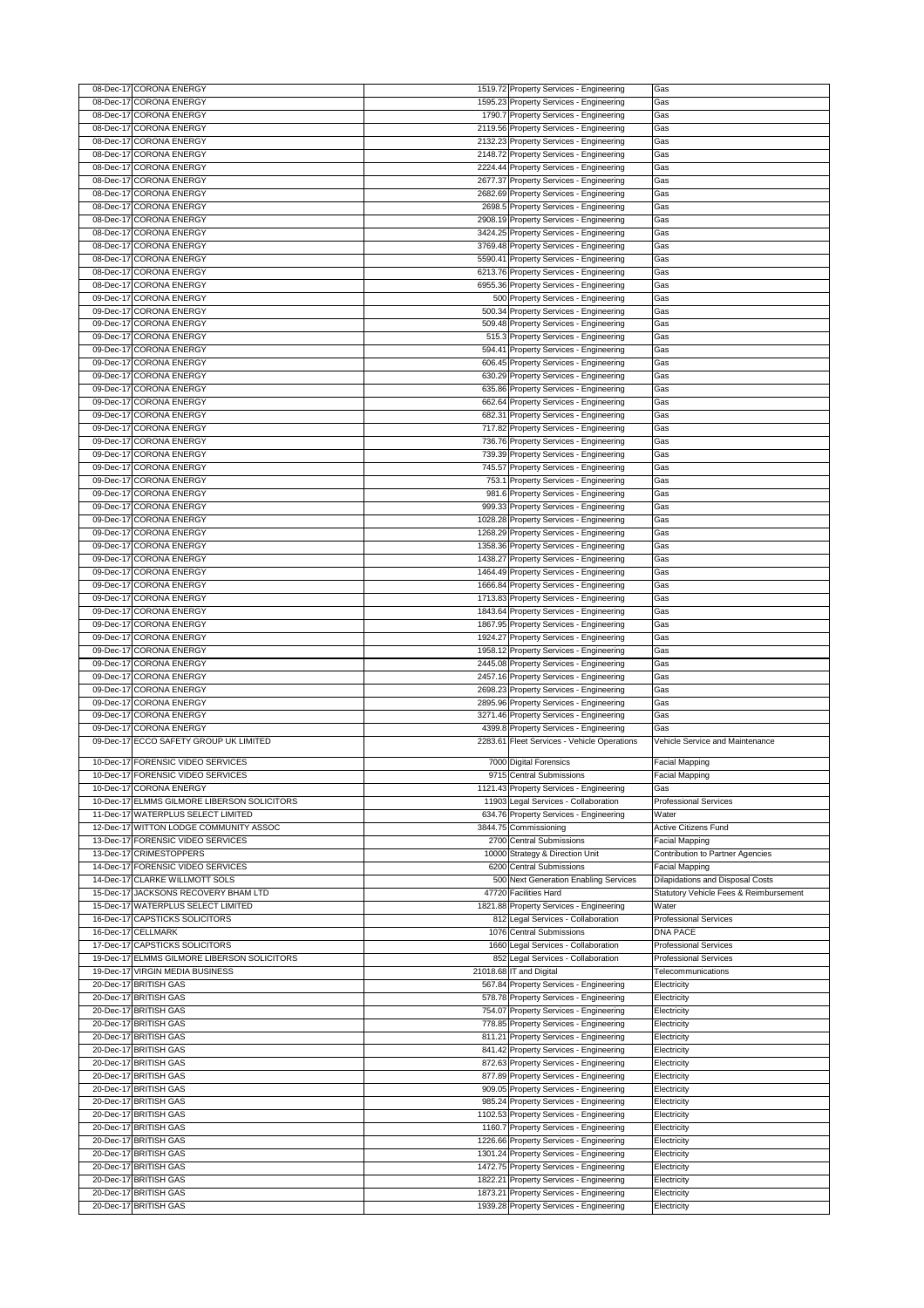| 08-Dec-17 CORONA ENERGY                        |                                                                                    | Gas                                    |
|------------------------------------------------|------------------------------------------------------------------------------------|----------------------------------------|
|                                                | 1519.72 Property Services - Engineering                                            |                                        |
| 08-Dec-17 CORONA ENERGY                        | 1595.23 Property Services - Engineering                                            | Gas                                    |
| 08-Dec-17 CORONA ENERGY                        | 1790.7 Property Services - Engineering                                             | Gas                                    |
| 08-Dec-17 CORONA ENERGY                        | 2119.56 Property Services - Engineering                                            | Gas                                    |
| 08-Dec-17 CORONA ENERGY                        | 2132.23 Property Services - Engineering                                            | Gas                                    |
|                                                |                                                                                    |                                        |
| 08-Dec-17 CORONA ENERGY                        | 2148.72 Property Services - Engineering                                            | Gas                                    |
| 08-Dec-17 CORONA ENERGY                        | 2224.44 Property Services - Engineering                                            | Gas                                    |
| 08-Dec-17 CORONA ENERGY                        | 2677.37 Property Services - Engineering                                            | Gas                                    |
|                                                |                                                                                    |                                        |
| 08-Dec-17 CORONA ENERGY                        | 2682.69 Property Services - Engineering                                            | Gas                                    |
| 08-Dec-17 CORONA ENERGY                        | 2698.5 Property Services - Engineering                                             | Gas                                    |
| 08-Dec-17 CORONA ENERGY                        | 2908.19 Property Services - Engineering                                            | Gas                                    |
|                                                |                                                                                    |                                        |
| 08-Dec-17 CORONA ENERGY                        | 3424.25 Property Services - Engineering                                            | Gas                                    |
| 08-Dec-17 CORONA ENERGY                        | 3769.48 Property Services - Engineering                                            | Gas                                    |
| 08-Dec-17 CORONA ENERGY                        | 5590.41 Property Services - Engineering                                            | Gas                                    |
| 08-Dec-17 CORONA ENERGY                        | 6213.76 Property Services - Engineering                                            | Gas                                    |
|                                                |                                                                                    |                                        |
| 08-Dec-17 CORONA ENERGY                        | 6955.36 Property Services - Engineering                                            | Gas                                    |
| 09-Dec-17 CORONA ENERGY                        | 500 Property Services - Engineering                                                | Gas                                    |
| 09-Dec-17 CORONA ENERGY                        | 500.34 Property Services - Engineering                                             | Gas                                    |
|                                                |                                                                                    |                                        |
| 09-Dec-17 CORONA ENERGY                        | 509.48 Property Services - Engineering                                             | Gas                                    |
| 09-Dec-17 CORONA ENERGY                        | 515.3 Property Services - Engineering                                              | Gas                                    |
| 09-Dec-17 CORONA ENERGY                        | 594.41 Property Services - Engineering                                             | Gas                                    |
|                                                |                                                                                    |                                        |
| 09-Dec-17 CORONA ENERGY                        | 606.45 Property Services - Engineering                                             | Gas                                    |
| 09-Dec-17 CORONA ENERGY                        | 630.29 Property Services - Engineering                                             | Gas                                    |
| 09-Dec-17 CORONA ENERGY                        | 635.86 Property Services - Engineering                                             | Gas                                    |
| 09-Dec-17 CORONA ENERGY                        | 662.64 Property Services - Engineering                                             | Gas                                    |
|                                                |                                                                                    |                                        |
| 09-Dec-17 CORONA ENERGY                        | 682.31 Property Services - Engineering                                             | Gas                                    |
| 09-Dec-17 CORONA ENERGY                        | 717.82 Property Services - Engineering                                             | Gas                                    |
| 09-Dec-17 CORONA ENERGY                        | 736.76 Property Services - Engineering                                             | Gas                                    |
|                                                |                                                                                    |                                        |
| 09-Dec-17 CORONA ENERGY                        | 739.39 Property Services - Engineering                                             | Gas                                    |
| 09-Dec-17 CORONA ENERGY                        | 745.57 Property Services - Engineering                                             | Gas                                    |
| 09-Dec-17 CORONA ENERGY                        | 753.1 Property Services - Engineering                                              | Gas                                    |
|                                                |                                                                                    |                                        |
| 09-Dec-17 CORONA ENERGY                        | 981.6 Property Services - Engineering                                              | Gas                                    |
| 09-Dec-17 CORONA ENERGY                        | 999.33 Property Services - Engineering                                             | Gas                                    |
| 09-Dec-17 CORONA ENERGY                        | 1028.28 Property Services - Engineering                                            | Gas                                    |
|                                                |                                                                                    |                                        |
| 09-Dec-17 CORONA ENERGY                        | 1268.29 Property Services - Engineering                                            | Gas                                    |
| 09-Dec-17 CORONA ENERGY                        | 1358.36 Property Services - Engineering                                            | Gas                                    |
| 09-Dec-17 CORONA ENERGY                        | 1438.27 Property Services - Engineering                                            | Gas                                    |
| 09-Dec-17 CORONA ENERGY                        | 1464.49 Property Services - Engineering                                            | Gas                                    |
|                                                |                                                                                    |                                        |
| 09-Dec-17 CORONA ENERGY                        | 1666.84 Property Services - Engineering                                            | Gas                                    |
| 09-Dec-17 CORONA ENERGY                        | 1713.83 Property Services - Engineering                                            | Gas                                    |
| 09-Dec-17 CORONA ENERGY                        | 1843.64 Property Services - Engineering                                            | Gas                                    |
|                                                |                                                                                    |                                        |
| 09-Dec-17 CORONA ENERGY                        | 1867.95 Property Services - Engineering                                            | Gas                                    |
| 09-Dec-17 CORONA ENERGY                        | 1924.27 Property Services - Engineering                                            | Gas                                    |
| 09-Dec-17 CORONA ENERGY                        | 1958.12 Property Services - Engineering                                            | Gas                                    |
|                                                |                                                                                    |                                        |
|                                                |                                                                                    |                                        |
| 09-Dec-17 CORONA ENERGY                        | 2445.08 Property Services - Engineering                                            | Gas                                    |
| 09-Dec-17 CORONA ENERGY                        | 2457.16 Property Services - Engineering                                            | Gas                                    |
|                                                |                                                                                    |                                        |
| 09-Dec-17 CORONA ENERGY                        | 2698.23 Property Services - Engineering                                            | Gas                                    |
| 09-Dec-17 CORONA ENERGY                        | 2895.96 Property Services - Engineering                                            | Gas                                    |
| 09-Dec-17 CORONA ENERGY                        | 3271.46 Property Services - Engineering                                            | Gas                                    |
| 09-Dec-17 CORONA ENERGY                        | 4399.8 Property Services - Engineering                                             | Gas                                    |
|                                                |                                                                                    |                                        |
| 09-Dec-17 ECCO SAFETY GROUP UK LIMITED         | 2283.61 Fleet Services - Vehicle Operations                                        | Vehicle Service and Maintenance        |
|                                                |                                                                                    |                                        |
| 10-Dec-17 FORENSIC VIDEO SERVICES              | 7000 Digital Forensics                                                             | <b>Facial Mapping</b>                  |
| 10-Dec-17 FORENSIC VIDEO SERVICES              | 9715 Central Submissions                                                           | <b>Facial Mapping</b>                  |
| 10-Dec-17 CORONA ENERGY                        | 1121.43 Property Services - Engineering                                            | Gas                                    |
|                                                |                                                                                    |                                        |
| 10-Dec-17 ELMMS GILMORE LIBERSON SOLICITORS    | 11903 Legal Services - Collaboration                                               | <b>Professional Services</b>           |
| 11-Dec-17 WATERPLUS SELECT LIMITED             | 634.76 Property Services - Engineering                                             | Water                                  |
| 12-Dec-17 WITTON LODGE COMMUNITY ASSOC         | 3844.75 Commissioning                                                              | <b>Active Citizens Fund</b>            |
| 13-Dec-17 FORENSIC VIDEO SERVICES              | 2700 Central Submissions                                                           | <b>Facial Mapping</b>                  |
|                                                |                                                                                    |                                        |
| 13-Dec-17 CRIMESTOPPERS                        | 10000 Strategy & Direction Unit                                                    | Contribution to Partner Agencies       |
| 14-Dec-17 FORENSIC VIDEO SERVICES              | 6200 Central Submissions                                                           | <b>Facial Mapping</b>                  |
| 14-Dec-17 CLARKE WILLMOTT SOLS                 | 500 Next Generation Enabling Services                                              | Dilapidations and Disposal Costs       |
|                                                | 47720 Facilities Hard                                                              |                                        |
| 15-Dec-17 JACKSONS RECOVERY BHAM LTD           |                                                                                    | Statutory Vehicle Fees & Reimbursement |
| 15-Dec-17 WATERPLUS SELECT LIMITED             | 1821.88 Property Services - Engineering                                            | Water                                  |
| 16-Dec-17 CAPSTICKS SOLICITORS                 | 812 Legal Services - Collaboration                                                 | <b>Professional Services</b>           |
| 16-Dec-17 CELLMARK                             | 1076 Central Submissions                                                           | <b>DNA PACE</b>                        |
|                                                |                                                                                    |                                        |
| 17-Dec-17 CAPSTICKS SOLICITORS                 | 1660 Legal Services - Collaboration                                                | <b>Professional Services</b>           |
| 19-Dec-17 ELMMS GILMORE LIBERSON SOLICITORS    | 852 Legal Services - Collaboration                                                 | <b>Professional Services</b>           |
| 19-Dec-17 VIRGIN MEDIA BUSINESS                | 21018.68 IT and Digital                                                            | Telecommunications                     |
|                                                |                                                                                    |                                        |
| 20-Dec-17 BRITISH GAS                          | 567.84 Property Services - Engineering                                             | Electricity                            |
| 20-Dec-17 BRITISH GAS                          | 578.78 Property Services - Engineering                                             | Electricity                            |
| 20-Dec-17 BRITISH GAS                          | 754.07 Property Services - Engineering                                             | Electricity                            |
| 20-Dec-17 BRITISH GAS                          | 778.85 Property Services - Engineering                                             | Electricity                            |
|                                                |                                                                                    |                                        |
| 20-Dec-17 BRITISH GAS                          | 811.21 Property Services - Engineering                                             | Electricity                            |
| 20-Dec-17 BRITISH GAS                          | 841.42 Property Services - Engineering                                             | Electricity                            |
| 20-Dec-17 BRITISH GAS                          | 872.63 Property Services - Engineering                                             | Electricity                            |
|                                                |                                                                                    |                                        |
| 20-Dec-17 BRITISH GAS                          | 877.89 Property Services - Engineering                                             | Electricity                            |
| 20-Dec-17 BRITISH GAS                          | 909.05 Property Services - Engineering                                             | Electricity                            |
| 20-Dec-17 BRITISH GAS                          | 985.24 Property Services - Engineering                                             | Electricity                            |
|                                                |                                                                                    |                                        |
| 20-Dec-17 BRITISH GAS                          | 1102.53 Property Services - Engineering                                            | Electricity                            |
| 20-Dec-17 BRITISH GAS                          | 1160.7 Property Services - Engineering                                             | Electricity                            |
| 20-Dec-17 BRITISH GAS                          | 1226.66 Property Services - Engineering                                            | Electricity                            |
|                                                |                                                                                    |                                        |
| 20-Dec-17 BRITISH GAS                          | 1301.24 Property Services - Engineering                                            | Electricity                            |
| 20-Dec-17 BRITISH GAS                          | 1472.75 Property Services - Engineering                                            | Electricity                            |
| 20-Dec-17 BRITISH GAS                          | 1822.21 Property Services - Engineering                                            | Electricity                            |
|                                                |                                                                                    |                                        |
| 20-Dec-17 BRITISH GAS<br>20-Dec-17 BRITISH GAS | 1873.21 Property Services - Engineering<br>1939.28 Property Services - Engineering | Electricity<br>Electricity             |